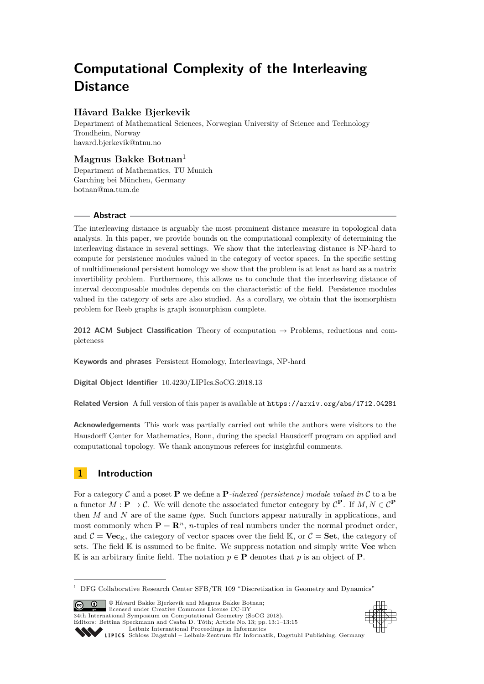# **Computational Complexity of the Interleaving Distance**

## **Håvard Bakke Bjerkevik**

Department of Mathematical Sciences, Norwegian University of Science and Technology Trondheim, Norway [havard.bjerkevik@ntnu.no](mailto:havard.bjerkevik@ntnu.no)

# **Magnus Bakke Botnan**<sup>1</sup>

Department of Mathematics, TU Munich Garching bei München, Germany [botnan@ma.tum.de](mailto:botnan@ma.tum.de)

## **Abstract**

The interleaving distance is arguably the most prominent distance measure in topological data analysis. In this paper, we provide bounds on the computational complexity of determining the interleaving distance in several settings. We show that the interleaving distance is NP-hard to compute for persistence modules valued in the category of vector spaces. In the specific setting of multidimensional persistent homology we show that the problem is at least as hard as a matrix invertibility problem. Furthermore, this allows us to conclude that the interleaving distance of interval decomposable modules depends on the characteristic of the field. Persistence modules valued in the category of sets are also studied. As a corollary, we obtain that the isomorphism problem for Reeb graphs is graph isomorphism complete.

**2012 ACM Subject Classification** Theory of computation → Problems, reductions and completeness

**Keywords and phrases** Persistent Homology, Interleavings, NP-hard

**Digital Object Identifier** [10.4230/LIPIcs.SoCG.2018.13](http://dx.doi.org/10.4230/LIPIcs.SoCG.2018.13)

**Related Version** A full version of this paper is available at <https://arxiv.org/abs/1712.04281>

**Acknowledgements** This work was partially carried out while the authors were visitors to the Hausdorff Center for Mathematics, Bonn, during the special Hausdorff program on applied and computational topology. We thank anonymous referees for insightful comments.

# **1 Introduction**

For a category C and a poset **P** we define a **P***-indexed (persistence) module valued in* C to a be a functor  $M: \mathbf{P} \to \mathcal{C}$ . We will denote the associated functor category by  $\mathcal{C}^{\mathbf{P}}$ . If  $M, N \in \mathcal{C}^{\mathbf{P}}$ then *M* and *N* are of the same *type*. Such functors appear naturally in applications, and most commonly when  $\mathbf{P} = \mathbf{R}^n$ , *n*-tuples of real numbers under the normal product order, and  $C = \textbf{Vec}_K$ , the category of vector spaces over the field K, or  $C = \textbf{Set}$ , the category of sets. The field K is assumed to be finite. We suppress notation and simply write **Vec** when K is an arbitrary finite field. The notation  $p \in \mathbf{P}$  denotes that p is an object of **P**.

**C**  $\bullet$   $\bullet$   $\bullet$  Håvard Bakke Bjerkevik and Magnus Bakke Botnan: licensed under Creative Commons License CC-BY 34th International Symposium on Computational Geometry (SoCG 2018). Editors: Bettina Speckmann and Csaba D. Tóth; Article No. 13; pp. 13:1–13[:15](#page-14-0)





[Schloss Dagstuhl – Leibniz-Zentrum für Informatik, Dagstuhl Publishing, Germany](http://www.dagstuhl.de)

 $^{\rm 1}$  DFG Collaborative Research Center SFB/TR 109 "Discretization in Geometry and Dynamics"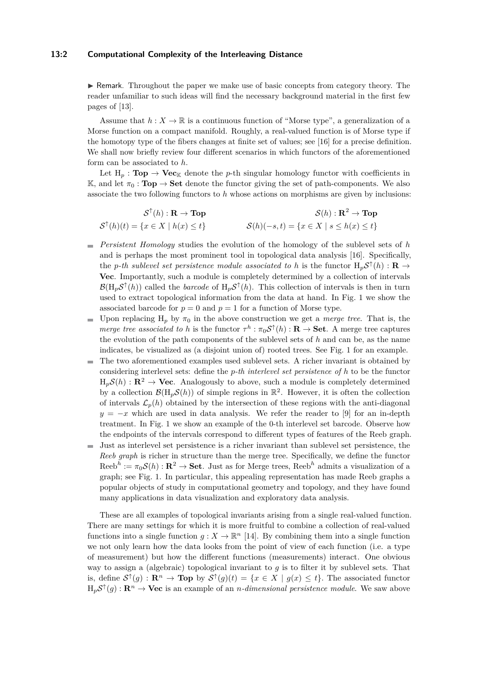#### **13:2 Computational Complexity of the Interleaving Distance**

 $\triangleright$  Remark. Throughout the paper we make use of basic concepts from category theory. The reader unfamiliar to such ideas will find the necessary background material in the first few pages of [\[13\]](#page-13-0).

Assume that  $h: X \to \mathbb{R}$  is a continuous function of "Morse type", a generalization of a Morse function on a compact manifold. Roughly, a real-valued function is of Morse type if the homotopy type of the fibers changes at finite set of values; see [\[16\]](#page-13-1) for a precise definition. We shall now briefly review four different scenarios in which functors of the aforementioned form can be associated to *h*.

Let  $H_p$ : **Top**  $\rightarrow$  **Vec**<sub>K</sub> denote the *p*-th singular homology functor with coefficients in K, and let  $\pi_0 : \textbf{Top} \to \textbf{Set}$  denote the functor giving the set of path-components. We also associate the two following functors to *h* whose actions on morphisms are given by inclusions:

$$
\mathcal{S}^{\uparrow}(h) : \mathbf{R} \to \mathbf{Top}
$$
  

$$
\mathcal{S}^{\uparrow}(h)(t) = \{x \in X \mid h(x) \le t\}
$$
  

$$
\mathcal{S}(h)(-s,t) = \{x \in X \mid s \le h(x) \le t\}
$$

- *Persistent Homology* studies the evolution of the homology of the sublevel sets of *h* and is perhaps the most prominent tool in topological data analysis [\[16\]](#page-13-1). Specifically, the *p*-th sublevel set persistence module associated to h is the functor  $H_p \mathcal{S}^{\uparrow}(h) : \mathbf{R} \to$ **Vec**. Importantly, such a module is completely determined by a collection of intervals  $\mathcal{B}(H_p\mathcal{S}^{\uparrow}(h))$  called the *barcode* of  $H_p\mathcal{S}^{\uparrow}(h)$ . This collection of intervals is then in turn used to extract topological information from the data at hand. In Fig. [1](#page-2-0) we show the associated barcode for  $p = 0$  and  $p = 1$  for a function of Morse type.
- Upon replacing  $H_p$  by  $\pi_0$  in the above construction we get a *merge tree*. That is, the  $\equiv$ *merge tree associated to h* is the functor  $\tau^h : \pi_0 \mathcal{S}^{\uparrow}(h) : \mathbf{R} \to \mathbf{Set}$ . A merge tree captures the evolution of the path components of the sublevel sets of *h* and can be, as the name indicates, be visualized as (a disjoint union of) rooted trees. See Fig. [1](#page-2-0) for an example.
- The two aforementioned examples used sublevel sets. A richer invariant is obtained by  $\blacksquare$ considering interlevel sets: define the *p-th interlevel set persistence of h* to be the functor  $H_pS(h): \mathbb{R}^2 \to \mathbf{Vec}$ . Analogously to above, such a module is completely determined by a collection  $\mathcal{B}(H_p\mathcal{S}(h))$  of simple regions in  $\mathbb{R}^2$ . However, it is often the collection of intervals  $\mathcal{L}_p(h)$  obtained by the intersection of these regions with the anti-diagonal  $y = -x$  which are used in data analysis. We refer the reader to [\[9\]](#page-13-2) for an in-depth treatment. In Fig. [1](#page-2-0) we show an example of the 0-th interlevel set barcode. Observe how the endpoints of the intervals correspond to different types of features of the Reeb graph.
- Just as interlevel set persistence is a richer invariant than sublevel set persistence, the *Reeb graph* is richer in structure than the merge tree. Specifically, we define the functor  $\text{Reeb}^h := \pi_0 \mathcal{S}(h) : \mathbb{R}^2 \to \text{Set}$ . Just as for Merge trees,  $\text{Reeb}^h$  admits a visualization of a graph; see Fig. [1.](#page-2-0) In particular, this appealing representation has made Reeb graphs a popular objects of study in computational geometry and topology, and they have found many applications in data visualization and exploratory data analysis.

These are all examples of topological invariants arising from a single real-valued function. There are many settings for which it is more fruitful to combine a collection of real-valued functions into a single function  $g: X \to \mathbb{R}^n$  [\[14\]](#page-13-3). By combining them into a single function we not only learn how the data looks from the point of view of each function (i.e. a type of measurement) but how the different functions (measurements) interact. One obvious way to assign a (algebraic) topological invariant to *g* is to filter it by sublevel sets. That is, define  $S^{\uparrow}(g) : \mathbf{R}^n \to \mathbf{Top}$  by  $S^{\uparrow}(g)(t) = \{x \in X \mid g(x) \leq t\}$ . The associated functor  $H_p \mathcal{S}^{\uparrow}(g) : \mathbf{R}^n \to \mathbf{Vec}$  is an example of an *n*-dimensional persistence module. We saw above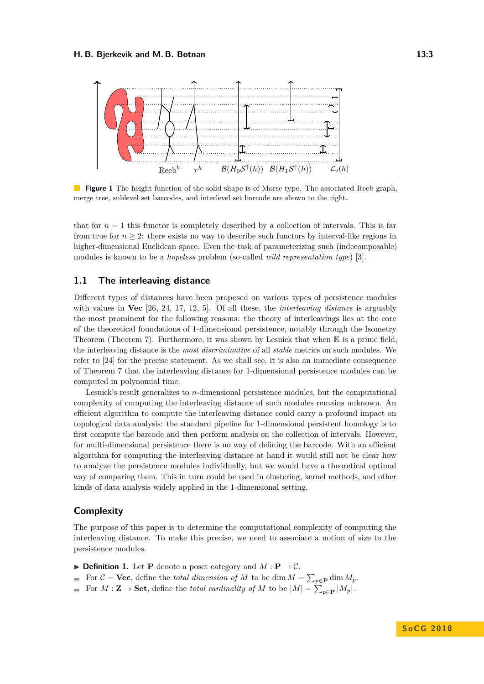<span id="page-2-0"></span>

**Figure 1** The height function of the solid shape is of Morse type. The associated Reeb graph, merge tree, sublevel set barcodes, and interlevel set barcode are shown to the right.

that for  $n = 1$  this functor is completely described by a collection of intervals. This is far from true for  $n \geq 2$ : there exists no way to describe such functors by interval-like regions in higher-dimensional Euclidean space. Even the task of parameterizing such (indecomposable) modules is known to be a *hopeless* problem (so-called *wild representation type*) [\[3\]](#page-13-4).

## **1.1 The interleaving distance**

Different types of distances have been proposed on various types of persistence modules with values in **Vec** [\[26,](#page-14-1) [24,](#page-13-5) [17,](#page-13-6) [12,](#page-13-7) [5\]](#page-13-8). Of all these, the *interleaving distance* is arguably the most prominent for the following reasons: the theory of interleavings lies at the core of the theoretical foundations of 1-dimensional persistence, notably through the Isometry Theorem (Theorem [7\)](#page-5-0). Furthermore, it was shown by Lesnick that when  $\mathbb K$  is a prime field, the interleaving distance is the *most discriminative* of all *stable* metrics on such modules. We refer to [\[24\]](#page-13-5) for the precise statement. As we shall see, it is also an immediate consequence of Theorem [7](#page-5-0) that the interleaving distance for 1-dimensional persistence modules can be computed in polynomial time.

Lesnick's result generalizes to *n*-dimensional persistence modules, but the computational complexity of computing the interleaving distance of such modules remains unknown. An efficient algorithm to compute the interleaving distance could carry a profound impact on topological data analysis: the standard pipeline for 1-dimensional persistent homology is to first compute the barcode and then perform analysis on the collection of intervals. However, for multi-dimensional persistence there is no way of defining the barcode. With an efficient algorithm for computing the interleaving distance at hand it would still not be clear how to analyze the persistence modules individually, but we would have a theoretical optimal way of comparing them. This in turn could be used in clustering, kernel methods, and other kinds of data analysis widely applied in the 1-dimensional setting.

## **Complexity**

The purpose of this paper is to determine the computational complexity of computing the interleaving distance. To make this precise, we need to associate a notion of size to the persistence modules.

- $\triangleright$  **Definition 1.** Let **P** denote a poset category and  $M : \mathbf{P} \to \mathcal{C}$ .
- For  $C = \textbf{Vec}$ , define the *total dimension of M* to be dim  $M = \sum_{p \in \mathbf{P}} \dim M_p$ .
- $\blacksquare$ For  $M: \mathbf{Z} \to \mathbf{Set}$ , define the *total cardinality of*  $M$  to be  $|M| = \sum_{p \in \mathbf{P}} |M_p|$ .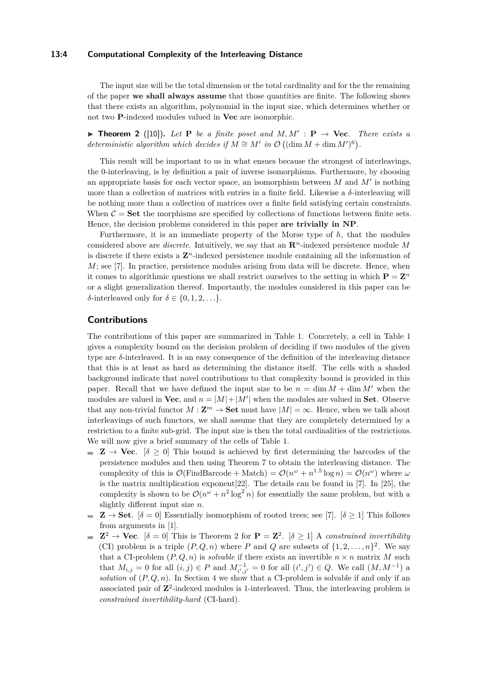#### **13:4 Computational Complexity of the Interleaving Distance**

The input size will be the total dimension or the total cardinality and for the the remaining of the paper **we shall always assume** that those quantities are finite. The following shows that there exists an algorithm, polynomial in the input size, which determines whether or not two **P**-indexed modules valued in **Vec** are isomorphic.

<span id="page-3-0"></span>**Find Theorem 2** ([\[10\]](#page-13-9)). Let **P** be a finite poset and  $M, M' : \mathbf{P} \to \mathbf{Vec}$ . There exists a *deterministic algorithm which decides if*  $M \cong M'$  *in*  $\mathcal{O}((\dim M + \dim M')^6)$ .

This result will be important to us in what ensues because the strongest of interleavings, the 0-interleaving, is by definition a pair of inverse isomorphisms. Furthermore, by choosing an appropriate basis for each vector space, an isomorphism between  $M$  and  $M'$  is nothing more than a collection of matrices with entries in a finite field. Likewise a *δ*-interleaving will be nothing more than a collection of matrices over a finite field satisfying certain constraints. When  $C =$  Set the morphisms are specified by collections of functions between finite sets. Hence, the decision problems considered in this paper **are trivially in NP**.

Furthermore, it is an immediate property of the Morse type of *h*, that the modules considered above are *discrete*. Intuitively, we say that an **R***n*-indexed persistence module *M* is discrete if there exists a  $\mathbb{Z}^n$ -indexed persistence module containing all the information of  $M$ ; see [\[7\]](#page-13-10). In practice, persistence modules arising from data will be discrete. Hence, when it comes to algorithmic questions we shall restrict ourselves to the setting in which  $P = Z^n$ or a slight generalization thereof. Importantly, the modules considered in this paper can be *δ*-interleaved only for *δ* ∈ {0*,* 1*,* 2*, . . .*}.

## **Contributions**

The contributions of this paper are summarized in Table [1.](#page-4-0) Concretely, a cell in Table [1](#page-4-0) gives a complexity bound on the decision problem of deciding if two modules of the given type are *δ*-interleaved. It is an easy consequence of the definition of the interleaving distance that this is at least as hard as determining the distance itself. The cells with a shaded background indicate that novel contributions to that complexity bound is provided in this paper. Recall that we have defined the input size to be  $n = \dim M + \dim M'$  when the modules are valued in **Vec**, and  $n = |M| + |M'|$  when the modules are valued in **Set**. Observe that any non-trivial functor  $M: \mathbf{Z}^m \to \mathbf{Set}$  must have  $|M| = \infty$ . Hence, when we talk about interleavings of such functors, we shall assume that they are completely determined by a restriction to a finite sub-grid. The input size is then the total cardinalities of the restrictions. We will now give a brief summary of the cells of Table [1.](#page-4-0)

- **Z**  $\rightarrow$  **Vec.** [ $\delta > 0$ ] This bound is achieved by first determining the barcodes of the persistence modules and then using Theorem [7](#page-5-0) to obtain the interleaving distance. The complexity of this is  $\mathcal{O}(\text{FindBarcode} + \text{Match}) = \mathcal{O}(n^{\omega} + n^{1.5} \log n) = \mathcal{O}(n^{\omega})$  where  $\omega$ is the matrix multiplication exponent[\[22\]](#page-13-11). The details can be found in [\[7\]](#page-13-10). In [\[25\]](#page-14-2), the complexity is shown to be  $\mathcal{O}(n^{\omega} + n^2 \log^2 n)$  for essentially the same problem, but with a slightly different input size *n*.
- $\mathbf{Z} \to \mathbf{Set}.$  [ $\delta = 0$ ] Essentially isomorphism of rooted trees; see [\[7\]](#page-13-10). [ $\delta \geq 1$ ] This follows m. from arguments in [\[1\]](#page-12-0).
- $\mathbf{Z}^2 \to \mathbf{Vec}.$  [ $\delta = 0$ ] This is Theorem [2](#page-3-0) for  $\mathbf{P} = \mathbf{Z}^2$ . [ $\delta \geq 1$ ] A *constrained invertibility* (CI) problem is a triple  $(P, Q, n)$  where P and Q are subsets of  $\{1, 2, \ldots, n\}^2$ . We say that a CI-problem  $(P, Q, n)$  is *solvable* if there exists an invertible  $n \times n$  matrix M such that  $M_{i,j} = 0$  for all  $(i,j) \in P$  and  $M_{i',j'}^{-1} = 0$  for all  $(i',j') \in Q$ . We call  $(M, M^{-1})$  a *solution* of  $(P, Q, n)$ . In Section [4](#page-9-0) we show that a CI-problem is solvable if and only if an associated pair of  $\mathbb{Z}^2$ -indexed modules is 1-interleaved. Thus, the interleaving problem is *constrained invertibility-hard* (CI-hard).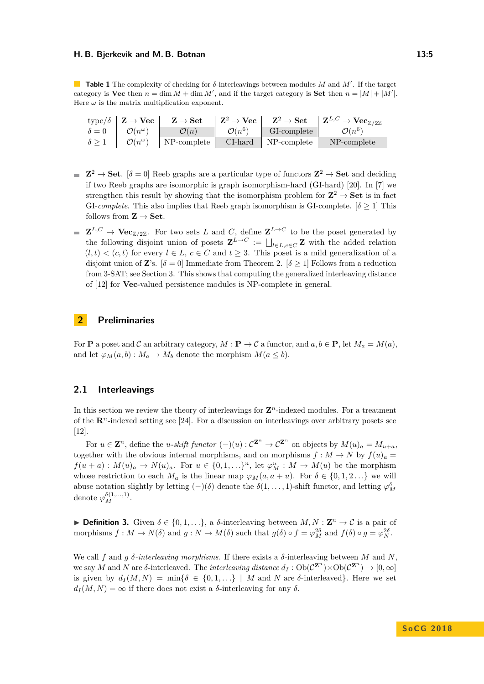#### **H. B. Bjerkevik and M. B. Botnan 13:5**

<span id="page-4-0"></span>**Table 1** The complexity of checking for  $\delta$ -interleavings between modules M and M'. If the target category is **Vec** then  $n = \dim M + \dim M'$ , and if the target category is **Set** then  $n = |M| + |M'|$ . Here  $\omega$  is the matrix multiplication exponent.

|                 | type/ $\delta \mid \mathbf{Z} \to \mathbf{Vec} \mid$ | $\mathbf{Z} \to \mathbf{Set}$ |                                | $\left\  \begin{array}{ccc} \mathbf{Z}^2 \to \mathbf{Vec} \end{array} \right\  \quad \mathbf{Z}^2 \to \mathbf{Set} \quad \left\  \begin{array}{ccc} \mathbf{Z}^{L,C} \to \mathbf{Vec}_{\mathbb{Z}/2\mathbb{Z}} \end{array} \right\ $ |
|-----------------|------------------------------------------------------|-------------------------------|--------------------------------|--------------------------------------------------------------------------------------------------------------------------------------------------------------------------------------------------------------------------------------|
|                 | $\delta = 0$   $\mathcal{O}(n^{\omega})$             | $\overline{\mathcal{O}(n)}$   | $\mathcal{O}(n^6)$ GI-complete | $\mathcal{O}(n^6)$                                                                                                                                                                                                                   |
| $\delta \geq 1$ | $\mathcal{O}(n^{\omega})$                            | $\vert$ NP-complete $\vert$   | CI-hard NP-complete            | NP-complete                                                                                                                                                                                                                          |

- $\mathbb{Z}^2 \to \mathbf{Set}$ .  $[\delta = 0]$  Reeb graphs are a particular type of functors  $\mathbb{Z}^2 \to \mathbf{Set}$  and deciding if two Reeb graphs are isomorphic is graph isomorphism-hard (GI-hard) [\[20\]](#page-13-12). In [\[7\]](#page-13-10) we strengthen this result by showing that the isomorphism problem for  $\mathbb{Z}^2 \to \mathbf{Set}$  is in fact GI-*complete*. This also implies that Reeb graph isomorphism is GI-complete.  $\delta \geq 1$  This follows from  $\mathbf{Z} \to \mathbf{Set}$ .
- $\mathbf{Z}^{L,C} \to \mathbf{Vec}_{\mathbb{Z}/2\mathbb{Z}}$ . For two sets *L* and *C*, define  $\mathbf{Z}^{L\to C}$  to be the poset generated by the following disjoint union of posets  $\mathbf{Z}^{L\to C} := \bigsqcup_{l \in L, c \in C} \mathbf{Z}$  with the added relation  $(l,t) < (c,t)$  for every  $l \in L$ ,  $c \in C$  and  $t \geq 3$ . This poset is a mild generalization of a disjoint union of **Z**'s.  $[\delta = 0]$  Immediate from Theorem [2.](#page-3-0)  $[\delta \ge 1]$  Follows from a reduction from 3-SAT; see Section [3.](#page-6-0) This shows that computing the generalized interleaving distance of [\[12\]](#page-13-7) for **Vec**-valued persistence modules is NP-complete in general.

## **2 Preliminaries**

For **P** a poset and C an arbitrary category,  $M : \mathbf{P} \to \mathcal{C}$  a functor, and  $a, b \in \mathbf{P}$ , let  $M_a = M(a)$ , and let  $\varphi_M(a, b) : M_a \to M_b$  denote the morphism  $M(a \leq b)$ .

## <span id="page-4-1"></span>**2.1 Interleavings**

In this section we review the theory of interleavings for  $\mathbf{Z}^n$ -indexed modules. For a treatment of the  $\mathbb{R}^n$ -indexed setting see [\[24\]](#page-13-5). For a discussion on interleavings over arbitrary posets see [\[12\]](#page-13-7).

For  $u \in \mathbb{Z}^n$ , define the *u*-shift functor  $(-)(u): \mathcal{C}^{\mathbb{Z}^n} \to \mathcal{C}^{\mathbb{Z}^n}$  on objects by  $M(u)_a = M_{u+a}$ , together with the obvious internal morphisms, and on morphisms  $f : M \to N$  by  $f(u)_a =$  $f(u + a) : M(u)<sub>a</sub> \to N(u)<sub>a</sub>$ . For  $u \in \{0, 1, \ldots\}$ <sup>n</sup>, let  $\varphi_M^u : M \to M(u)$  be the morphism whose restriction to each  $M_a$  is the linear map  $\varphi_M(a, a + u)$ . For  $\delta \in \{0, 1, 2, \ldots\}$  we will abuse notation slightly by letting  $(-)(\delta)$  denote the  $\delta(1,\ldots,1)$ -shift functor, and letting  $\varphi_M^{\delta}$ denote  $\varphi_M^{\delta(1,...,1)}$ .

**► Definition 3.** Given  $\delta \in \{0, 1, ...\}$ , a  $\delta$ -interleaving between *M*, *N* : **Z**<sup>*n*</sup> → *C* is a pair of morphisms  $f: M \to N(\delta)$  and  $g: N \to M(\delta)$  such that  $g(\delta) \circ f = \varphi_M^{2\delta}$  and  $f(\delta) \circ g = \varphi_N^{2\delta}$ .

We call *f* and *g δ-interleaving morphisms*. If there exists a *δ*-interleaving between *M* and *N*, we say *M* and *N* are  $\delta$ -interleaved. The *interleaving distance*  $d_I : Ob(\mathcal{C}^{\mathbf{Z}^n}) \times Ob(\mathcal{C}^{\mathbf{Z}^n}) \to [0, \infty]$ is given by  $d_I(M, N) = \min{\delta \in \{0, 1, \ldots\}} | M \text{ and } N \text{ are } \delta\text{-interleaved}\}\.$  Here we set  $d_I(M, N) = \infty$  if there does not exist a *δ*-interleaving for any *δ*.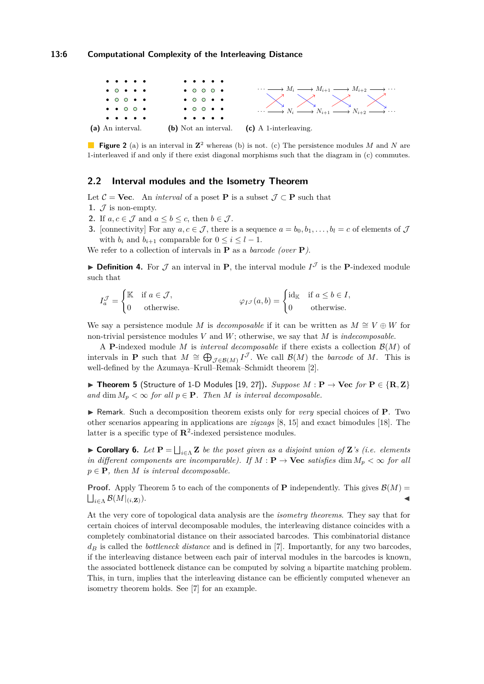#### **13:6 Computational Complexity of the Interleaving Distance**



**Figure 2** (a) is an interval in  $\mathbb{Z}^2$  whereas (b) is not. (c) The persistence modules M and N are 1-interleaved if and only if there exist diagonal morphisms such that the diagram in (c) commutes.

### **2.2 Interval modules and the Isometry Theorem**

Let  $\mathcal{C} = \mathbf{Vec}$ . An *interval* of a poset **P** is a subset  $\mathcal{J} \subset \mathbf{P}$  such that

- **1.**  $\mathcal{J}$  is non-empty.
- **2.** If  $a, c \in \mathcal{J}$  and  $a \leq b \leq c$ , then  $b \in \mathcal{J}$ .
- **3.** [connectivity] For any  $a, c \in \mathcal{J}$ , there is a sequence  $a = b_0, b_1, \ldots, b_l = c$  of elements of  $\mathcal{J}$ with  $b_i$  and  $b_{i+1}$  comparable for  $0 \leq i \leq l-1$ .

We refer to a collection of intervals in **P** as a *barcode (over* **P***)*.

**Definition 4.** For  $\mathcal{J}$  an interval in **P**, the interval module  $I^{\mathcal{J}}$  is the **P**-indexed module such that

$$
I_a^{\mathcal{J}} = \begin{cases} \mathbb{K} & \text{if } a \in \mathcal{J}, \\ 0 & \text{otherwise.} \end{cases} \qquad \qquad \varphi_{I^{\mathcal{J}}}(a, b) = \begin{cases} \text{id}_{\mathbb{K}} & \text{if } a \leq b \in I, \\ 0 & \text{otherwise.} \end{cases}
$$

We say a persistence module *M* is *decomposable* if it can be written as  $M \cong V \oplus W$  for non-trivial persistence modules *V* and *W*; otherwise, we say that *M* is *indecomposable*.

A **P**-indexed module *M* is *interval decomposable* if there exists a collection  $\mathcal{B}(M)$  of intervals in **P** such that  $M \cong \bigoplus_{\mathcal{J} \in \mathcal{B}(M)} I^{\mathcal{J}}$ . We call  $\mathcal{B}(M)$  the *barcode* of *M*. This is well-defined by the Azumaya–Krull–Remak–Schmidt theorem [\[2\]](#page-13-13).

<span id="page-5-1"></span>▶ **Theorem 5** (Structure of 1-D Modules [\[19,](#page-13-14) [27\]](#page-14-3)). *Suppose M* :  $P \rightarrow$  Vec *for*  $P \in \{R, Z\}$ *and* dim  $M_p < \infty$  *for all*  $p \in \mathbf{P}$ *. Then M is interval decomposable.* 

I Remark. Such a decomposition theorem exists only for *very* special choices of **P**. Two other scenarios appearing in applications are *zigzags* [\[8,](#page-13-15) [15\]](#page-13-16) and exact bimodules [\[18\]](#page-13-17). The latter is a specific type of **R**<sup>2</sup> -indexed persistence modules.

<span id="page-5-2"></span>**► Corollary 6.** Let  $\mathbf{P} = \bigsqcup_{i \in \Lambda} \mathbf{Z}$  be the poset given as a disjoint union of  $\mathbf{Z}$ 's (i.e. elements *in different components are incomparable). If*  $M : \mathbf{P} \to \mathbf{Vec}$  *satisfies* dim  $M_p < \infty$  for all  $p \in \mathbf{P}$ *, then M is interval decomposable.* 

**Proof.** Apply Theorem [5](#page-5-1) to each of the components of **P** independently. This gives  $\mathcal{B}(M)$  =  $\bigsqcup_{i \in \Lambda} \mathcal{B}(M|_{(i,\mathbf{Z})})$ .

<span id="page-5-0"></span>At the very core of topological data analysis are the *isometry theorems*. They say that for certain choices of interval decomposable modules, the interleaving distance coincides with a completely combinatorial distance on their associated barcodes. This combinatorial distance *d<sup>B</sup>* is called the *bottleneck distance* and is defined in [\[7\]](#page-13-10). Importantly, for any two barcodes, if the interleaving distance between each pair of interval modules in the barcodes is known, the associated bottleneck distance can be computed by solving a bipartite matching problem. This, in turn, implies that the interleaving distance can be efficiently computed whenever an isometry theorem holds. See [\[7\]](#page-13-10) for an example.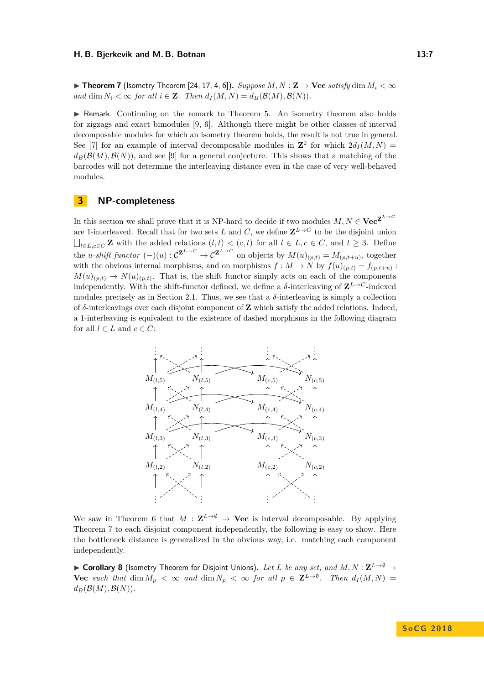$\triangleright$  **Theorem 7** (Isometry Theorem [\[24,](#page-13-5) [17,](#page-13-6) [4,](#page-13-18) [6\]](#page-13-19)). *Suppose M, N* : **Z**  $\rightarrow$  **Vec** *satisfy* dim  $M_i < \infty$ *and* dim  $N_i < \infty$  *for all*  $i \in \mathbf{Z}$ *. Then*  $d_I(M, N) = d_B(\mathcal{B}(M), \mathcal{B}(N))$ *.* 

 $\triangleright$  Remark. Continuing on the remark to Theorem [5.](#page-5-1) An isometry theorem also holds for zigzags and exact bimodules [\[9,](#page-13-2) [6\]](#page-13-19). Although there might be other classes of interval decomposable modules for which an isometry theorem holds, the result is not true in general. See [\[7\]](#page-13-10) for an example of interval decomposable modules in  $\mathbb{Z}^2$  for which  $2d_I(M, N) =$  $d_B(\mathcal{B}(M), \mathcal{B}(N))$ , and see [\[9\]](#page-13-2) for a general conjecture. This shows that a matching of the barcodes will not determine the interleaving distance even in the case of very well-behaved modules.

## <span id="page-6-0"></span>**3 NP-completeness**

In this section we shall prove that it is NP-hard to decide if two modules  $M, N \in \text{Vec}^{\mathbf{Z}^{L \to C}}$ are 1-interleaved. Recall that for two sets *L* and *C*, we define  $\mathbf{Z}^{L\to C}$  to be the disjoint union  $\bigsqcup_{l\in L,c\in C}$ **Z** with the added relations  $(l,t) < (c,t)$  for all  $l \in L, c \in C$ , and  $t ≥ 3$ . Define the *u*-shift functor  $(-)(u): C^{\mathbf{Z}^{L\to C}} \to C^{\mathbf{Z}^{L\to C}}$  on objects by  $M(u)_{(p,t)} = M_{(p,t+u)}$ , together with the obvious internal morphisms, and on morphisms  $f : M \to N$  by  $f(u)_{(p,t)} = f_{(p,t+u)}$ :  $M(u)_{(p,t)} \to N(u)_{(p,t)}$ . That is, the shift functor simply acts on each of the components independently. With the shift-functor defined, we define a  $\delta$ -interleaving of  $\mathbf{Z}^{L\to C}$ -indexed modules precisely as in Section [2.1.](#page-4-1) Thus, we see that a  $\delta$ -interleaving is simply a collection of *δ*-interleavings over each disjoint component of **Z** which satisfy the added relations. Indeed, a 1-interleaving is equivalent to the existence of dashed morphisms in the following diagram for all  $l \in L$  and  $c \in C$ :



We saw in Theorem [6](#page-5-2) that  $M : \mathbf{Z}^{L \to \emptyset} \to \mathbf{Vec}$  is interval decomposable. By applying Theorem [7](#page-5-0) to each disjoint component independently, the following is easy to show. Here the bottleneck distance is generalized in the obvious way, i.e. matching each component independently.

I **Corollary 8** (Isometry Theorem for Disjoint Unions)**.** *Let L be any set, and M, N* : **Z** *<sup>L</sup>*→∅ → **Vec** such that  $\dim M_p < \infty$  and  $\dim N_p < \infty$  for all  $p \in \mathbf{Z}^{L \to \emptyset}$ . Then  $d_I(M, N) =$  $d_B(\mathcal{B}(M), \mathcal{B}(N)).$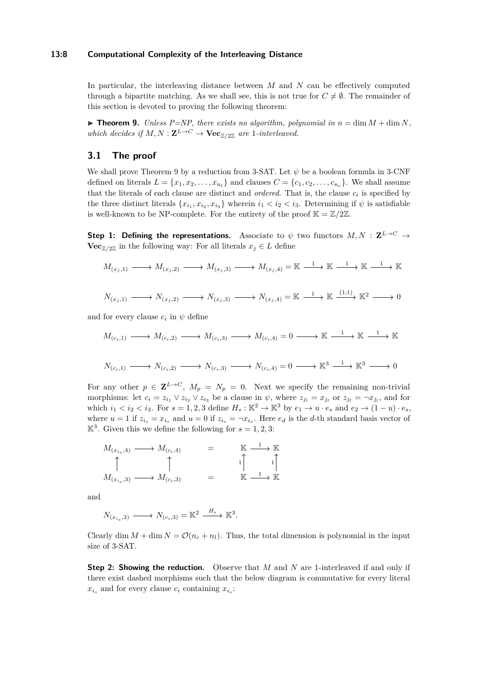#### **13:8 Computational Complexity of the Interleaving Distance**

In particular, the interleaving distance between *M* and *N* can be effectively computed through a bipartite matching. As we shall see, this is not true for  $C \neq \emptyset$ . The remainder of this section is devoted to proving the following theorem:

<span id="page-7-0"></span> $\blacktriangleright$  **Theorem 9.** *Unless P=NP, there exists no algorithm, polynomial in*  $n = \dim M + \dim N$ , *which decides if*  $M, N : \mathbf{Z}^{L \to C} \to \mathbf{Vec}_{\mathbb{Z}/2\mathbb{Z}}$  *are* 1*-interleaved.* 

## **3.1 The proof**

We shall prove Theorem [9](#page-7-0) by a reduction from 3-SAT. Let *ψ* be a boolean formula in 3-CNF defined on literals  $L = \{x_1, x_2, \ldots, x_{n_l}\}$  and clauses  $C = \{c_1, c_2, \ldots, c_{n_c}\}$ . We shall assume that the literals of each clause are distinct and *ordered*. That is, the clause  $c_i$  is specified by the three distinct literals  $\{x_{i_1}, x_{i_2}, x_{i_3}\}$  wherein  $i_1 < i_2 < i_3$ . Determining if  $\psi$  is satisfiable is well-known to be NP-complete. For the entirety of the proof  $\mathbb{K} = \mathbb{Z}/2\mathbb{Z}$ .

**Step 1: Defining the representations.** Associate to  $\psi$  two functors  $M, N : \mathbf{Z}^{L\rightarrow C} \rightarrow$ **Vec**<sub> $\mathbb{Z}/2\mathbb{Z}$  in the following way: For all literals  $x_j \in L$  define</sub>

$$
M_{(x_j,1)} \longrightarrow M_{(x_j,2)} \longrightarrow M_{(x_j,3)} \longrightarrow M_{(x_j,4)} = \mathbb{K} \xrightarrow{1} \mathbb{K} \xrightarrow{1} \mathbb{K} \xrightarrow{1} \mathbb{K}
$$
  

$$
N_{(x_j,1)} \longrightarrow N_{(x_j,2)} \longrightarrow N_{(x_j,3)} \longrightarrow N_{(x_j,4)} = \mathbb{K} \xrightarrow{1} \mathbb{K} \xrightarrow{(1;1)} \mathbb{K}^2 \longrightarrow 0
$$

$$
\begin{array}{ccccccccc}\n1 & 0 & & & & & \\
 & & 1 & & & & & \\
\end{array}
$$

and for every clause  $c_i$  in  $\psi$  define

$$
M_{(c_i,1)} \longrightarrow M_{(c_i,2)} \longrightarrow M_{(c_i,3)} \longrightarrow M_{(c_i,4)} = 0 \longrightarrow \mathbb{K} \longrightarrow \mathbb{K} \longrightarrow \mathbb{K} \longrightarrow \mathbb{K}
$$
  

$$
N_{(c_i,1)} \longrightarrow N_{(c_i,2)} \longrightarrow N_{(c_i,3)} \longrightarrow N_{(c_i,4)} = 0 \longrightarrow \mathbb{K}^3 \longrightarrow \mathbb{K}^3 \longrightarrow 0
$$

For any other  $p \in \mathbf{Z}^{L \to C}$ ,  $M_p = N_p = 0$ . Next we specify the remaining non-trivial morphisms: let  $c_i = z_{i_1} \vee z_{i_2} \vee z_{i_3}$  be a clause in  $\psi$ , where  $z_{j_l} = x_{j_l}$  or  $z_{j_l} = \neg x_{j_l}$ , and for which  $i_1 < i_2 < i_3$ . For  $s = 1, 2, 3$  define  $H_s : \mathbb{K}^2 \to \mathbb{K}^3$  by  $e_1 \to u \cdot e_s$  and  $e_2 \to (1 - u) \cdot e_s$ , where  $u = 1$  if  $z_{i_s} = x_{i_s}$  and  $u = 0$  if  $z_{i_s} = -x_{i_s}$ . Here  $e_d$  is the *d*-th standard basis vector of  $\mathbb{K}^3$ . Given this we define the following for  $s = 1, 2, 3$ :

$$
M_{(x_{i_s},4)} \longrightarrow M_{(c_i,4)} = \mathbb{K} \longrightarrow \mathbb{K}
$$
  
\n
$$
\uparrow \qquad \qquad \uparrow \qquad \qquad \downarrow
$$
  
\n
$$
M_{(x_{i_s},3)} \longrightarrow M_{(c_i,3)} = \mathbb{K} \longrightarrow \mathbb{K}
$$

and

 $N_{(x_i, 3)} \longrightarrow N_{(c_i, 3)} = \mathbb{K}^2 \xrightarrow{H_s} \mathbb{K}^3.$ 

Clearly dim  $M + \dim N = \mathcal{O}(n_c + n_l)$ . Thus, the total dimension is polynomial in the input size of 3-SAT.

**Step 2: Showing the reduction.** Observe that *M* and *N* are 1-interleaved if and only if there exist dashed morphisms such that the below diagram is commutative for every literal  $x_i$  and for every clause  $c_i$  containing  $x_i$ .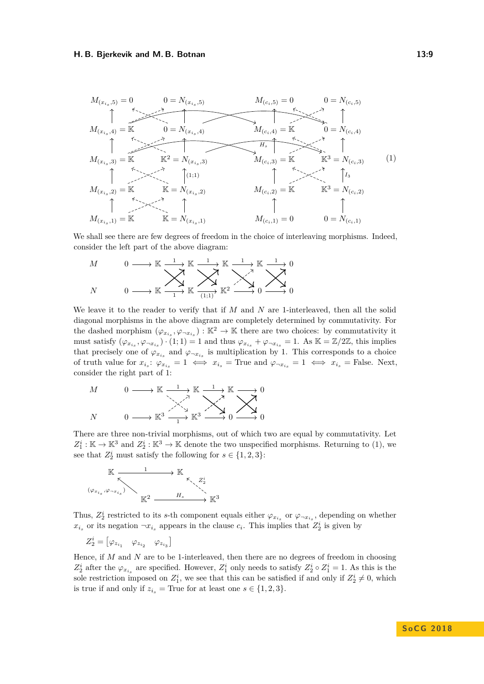#### **H. B. Bjerkevik and M. B. Botnan 13:9**

<span id="page-8-0"></span>

We shall see there are few degrees of freedom in the choice of interleaving morphisms. Indeed, consider the left part of the above diagram:

$$
\begin{array}{ccc}\nM & 0 & \longrightarrow \mathbb{K} \xrightarrow{1} \mathbb{K} \xrightarrow{1} \mathbb{K} \xrightarrow{1} \mathbb{K} \xrightarrow{1} \mathbb{K} \xrightarrow{1} 0 \\
N & 0 & \longrightarrow \mathbb{K} \xrightarrow{1} \mathbb{K} \xrightarrow{11} \mathbb{K} \xrightarrow{12} \mathbb{K}^2 \xrightarrow{21} 0 \xrightarrow{21} 0\n\end{array}
$$

We leave it to the reader to verify that if *M* and *N* are 1-interleaved, then all the solid diagonal morphisms in the above diagram are completely determined by commutativity. For the dashed morphism  $(\varphi_{x_{i_s}}, \varphi_{\neg x_{i_s}}): \mathbb{K}^2 \to \mathbb{K}$  there are two choices: by commutativity it must satisfy  $(\varphi_{x_{i_s}}, \varphi_{\neg x_{i_s}}) \cdot (1; 1) = 1$  and thus  $\varphi_{x_{i_s}} + \varphi_{\neg x_{i_s}} = 1$ . As  $\mathbb{K} = \mathbb{Z}/2\mathbb{Z}$ , this implies that precisely one of  $\varphi_{x_{i_s}}$  and  $\varphi_{\neg x_{i_s}}$  is multiplication by 1. This corresponds to a choice of truth value for  $x_{i_s}$ :  $\varphi_{x_{i_s}} = 1 \iff x_{i_s}$  = True and  $\varphi_{\neg x_{i_s}} = 1 \iff x_{i_s}$  = False. Next, consider the right part of [1:](#page-8-0)

$$
M \longrightarrow \mathbb{K} \xrightarrow{1} \mathbb{K} \xrightarrow{1} \mathbb{K} \xrightarrow{1} \mathbb{K} \longrightarrow 0
$$
  

$$
N \longrightarrow \mathbb{K}^3 \xrightarrow{1} \mathbb{K}^3 \xrightarrow{1} \mathbb{K}^3 \longrightarrow 0 \longrightarrow 0
$$

There are three non-trivial morphisms, out of which two are equal by commutativity. Let  $Z_1^i:\mathbb{K}\to\mathbb{K}^3$  and  $Z_2^i:\mathbb{K}^3\to\mathbb{K}$  denote the two unspecified morphisms. Returning to [\(1\)](#page-8-0), we see that  $Z_2^i$  must satisfy the following for  $s \in \{1, 2, 3\}$ :



Thus,  $Z_2^i$  restricted to its *s*-th component equals either  $\varphi_{x_{i_s}}$  or  $\varphi_{\neg x_{i_s}}$ , depending on whether  $x_i$  or its negation  $\neg x_i$  appears in the clause  $c_i$ . This implies that  $Z_2^i$  is given by

 $Z_2^i = \begin{bmatrix} \varphi_{z_{i_1}} & \varphi_{z_{i_2}} & \varphi_{z_{i_3}} \end{bmatrix}$ 

<span id="page-8-1"></span>Hence, if *M* and *N* are to be 1-interleaved, then there are no degrees of freedom in choosing  $Z_2^i$  after the  $\varphi_{x_{i_s}}$  are specified. However,  $Z_1^i$  only needs to satisfy  $Z_2^i \circ Z_1^i = 1$ . As this is the sole restriction imposed on  $Z_1^i$ , we see that this can be satisfied if and only if  $Z_2^i \neq 0$ , which is true if and only if  $z_{i_s}$  = True for at least one  $s \in \{1, 2, 3\}.$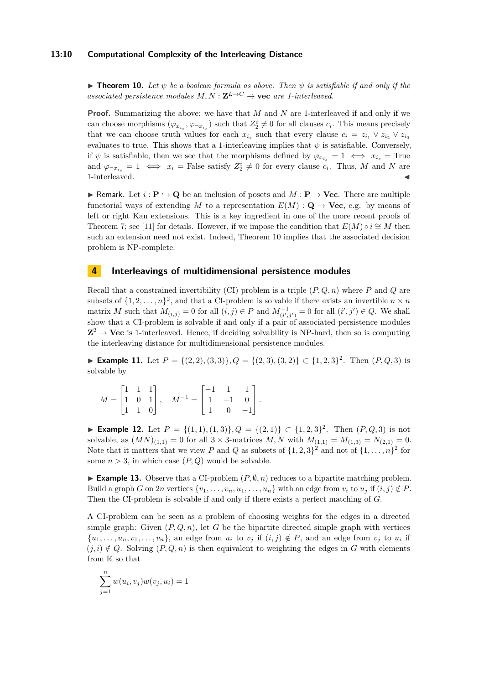#### **13:10 Computational Complexity of the Interleaving Distance**

**Theorem 10.** Let  $\psi$  be a boolean formula as above. Then  $\psi$  is satisfiable if and only if the *associated persistence modules*  $M, N : \mathbf{Z}^{L \to C} \to \mathbf{vec}$  *are 1-interleaved.* 

**Proof.** Summarizing the above: we have that *M* and *N* are 1-interleaved if and only if we can choose morphisms  $(\varphi_{x_{i_s}}, \varphi_{\neg x_{i_s}})$  such that  $Z_2^i \neq 0$  for all clauses  $c_i$ . This means precisely that we can choose truth values for each  $x_{i_s}$  such that every clause  $c_i = z_{i_1} \vee z_{i_2} \vee z_{i_3}$ evaluates to true. This shows that a 1-interleaving implies that  $\psi$  is satisfiable. Conversely, if  $\psi$  is satisfiable, then we see that the morphisms defined by  $\varphi_{x_i} = 1 \iff x_{i_s} =$  True and  $\varphi_{\neg x_{i_s}} = 1 \iff x_i = \text{False satisfy } Z_2^i \neq 0 \text{ for every clause } c_i$ . Thus, M and N are 1-interleaved.

**F** Remark. Let  $i : \mathbf{P} \hookrightarrow \mathbf{Q}$  be an inclusion of posets and  $M : \mathbf{P} \to \mathbf{Vec}$ . There are multiple functorial ways of extending M to a representation  $E(M)$ :  $Q \rightarrow \text{Vec}$ , e.g. by means of left or right Kan extensions. This is a key ingredient in one of the more recent proofs of Theorem [7;](#page-5-0) see [\[11\]](#page-13-20) for details. However, if we impose the condition that  $E(M) \circ i \cong M$  then such an extension need not exist. Indeed, Theorem [10](#page-8-1) implies that the associated decision problem is NP-complete.

## <span id="page-9-0"></span>**4 Interleavings of multidimensional persistence modules**

Recall that a constrained invertibility (CI) problem is a triple (*P, Q, n*) where *P* and *Q* are subsets of  $\{1, 2, \ldots, n\}^2$ , and that a CI-problem is solvable if there exists an invertible  $n \times n$ matrix *M* such that  $M_{(i,j)} = 0$  for all  $(i, j) \in P$  and  $M_{(i', j')}^{-1} = 0$  for all  $(i', j') \in Q$ . We shall show that a CI-problem is solvable if and only if a pair of associated persistence modules  $\mathbb{Z}^2 \to \mathbf{Vec}$  is 1-interleaved. Hence, if deciding solvability is NP-hard, then so is computing the interleaving distance for multidimensional persistence modules.

► **Example 11.** Let  $P = \{(2, 2), (3, 3)\}, Q = \{(2, 3), (3, 2)\} \subset \{1, 2, 3\}^2$ . Then  $(P, Q, 3)$  is solvable by

|  |  | $M = \begin{bmatrix} 1 & 1 & 1 \\ 1 & 0 & 1 \\ 1 & 1 & 0 \end{bmatrix}$ , $M^{-1} = \begin{bmatrix} -1 & 1 & 1 \\ 1 & -1 & 0 \\ 1 & 0 & -1 \end{bmatrix}$ . |  |  |
|--|--|-------------------------------------------------------------------------------------------------------------------------------------------------------------|--|--|

► **Example 12.** Let  $P = \{(1,1), (1,3)\}, Q = \{(2,1)\} \subset \{1,2,3\}^2$ . Then  $(P,Q,3)$  is not solvable, as  $(MN)_{(1,1)} = 0$  for all  $3 \times 3$ -matrices *M*, *N* with  $M_{(1,1)} = M_{(1,3)} = N_{(2,1)} = 0$ . Note that it matters that we view *P* and *Q* as subsets of  $\{1, 2, 3\}^2$  and not of  $\{1, \ldots, n\}^2$  for some  $n > 3$ , in which case  $(P, Q)$  would be solvable.

**Example 13.** Observe that a CI-problem  $(P, \emptyset, n)$  reduces to a bipartite matching problem. Build a graph *G* on 2*n* vertices  $\{v_1, \ldots, v_n, u_1, \ldots, u_n\}$  with an edge from  $v_i$  to  $u_j$  if  $(i, j) \notin P$ . Then the CI-problem is solvable if and only if there exists a perfect matching of *G*.

A CI-problem can be seen as a problem of choosing weights for the edges in a directed simple graph: Given  $(P,Q,n)$ , let G be the bipartite directed simple graph with vertices  $\{u_1, \ldots, u_n, v_1, \ldots, v_n\}$ , an edge from  $u_i$  to  $v_j$  if  $(i, j) \notin P$ , and an edge from  $v_j$  to  $u_i$  if  $(j, i) \notin Q$ . Solving  $(P, Q, n)$  is then equivalent to weighting the edges in *G* with elements from K so that

$$
\sum_{j=1}^{n} w(u_i, v_j) w(v_j, u_i) = 1
$$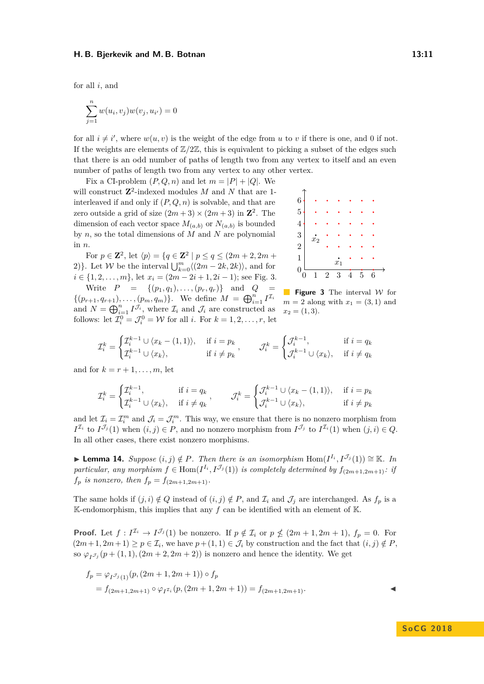for all *i*, and

$$
\sum_{j=1}^{n} w(u_i, v_j) w(v_j, u_{i'}) = 0
$$

for all  $i \neq i'$ , where  $w(u, v)$  is the weight of the edge from *u* to *v* if there is one, and 0 if not. If the weights are elements of  $\mathbb{Z}/2\mathbb{Z}$ , this is equivalent to picking a subset of the edges such that there is an odd number of paths of length two from any vertex to itself and an even number of paths of length two from any vertex to any other vertex.

Fix a CI-problem  $(P, Q, n)$  and let  $m = |P| + |Q|$ . We will construct **Z**<sup>2</sup>-indexed modules *M* and *N* that are 1interleaved if and only if (*P, Q, n*) is solvable, and that are zero outside a grid of size  $(2m+3) \times (2m+3)$  in  $\mathbb{Z}^2$ . The dimension of each vector space  $M_{(a,b)}$  or  $N_{(a,b)}$  is bounded by *n*, so the total dimensions of *M* and *N* are polynomial in *n*.

For  $p \in \mathbb{Z}^2$ , let  $\langle p \rangle = \{ q \in \mathbb{Z}^2 \mid p \le q \le (2m + 2, 2m + 2) \}$ 2)}. Let *W* be the interval  $\bigcup_{k=0}^{m} \langle (2m - 2k, 2k) \rangle$ , and for  $i \in \{1, 2, \ldots, m\}$ , let  $x_i = (2m - 2i + 1, 2i - 1)$ ; see Fig. [3.](#page-10-0)

Write  $P = \{(p_1, q_1), \ldots, (p_r, q_r)\}$  and  $Q =$  $\{(p_{r+1}, q_{r+1}), \ldots, (p_m, q_m)\}.$  We define  $M = \bigoplus_{i=1}^n I^{\mathcal{I}_i}$ and  $N = \bigoplus_{i=1}^{n} I^{\mathcal{J}_i}$ , where  $\mathcal{I}_i$  and  $\mathcal{J}_i$  are constructed as follows: let  $\mathcal{I}_i^0 = \mathcal{J}_i^0 = \mathcal{W}$  for all *i*. For  $k = 1, 2, \dots, r$ , let

<span id="page-10-0"></span>

**Figure 3** The interval W for  $m = 2$  along with  $x_1 = (3, 1)$  and  $x_2 = (1, 3).$ 

$$
\mathcal{I}_i^k = \begin{cases} \mathcal{I}_i^{k-1} \cup \langle x_k - (1,1) \rangle, & \text{if } i = p_k \\ \mathcal{I}_i^{k-1} \cup \langle x_k \rangle, & \text{if } i \neq p_k \end{cases}, \qquad \mathcal{J}_i^k = \begin{cases} \mathcal{J}_i^{k-1}, & \text{if } i = q_k \\ \mathcal{J}_i^{k-1} \cup \langle x_k \rangle, & \text{if } i \neq q_k \end{cases}
$$

and for  $k = r + 1, \ldots, m$ , let

$$
\mathcal{I}_i^k = \begin{cases} \mathcal{I}_i^{k-1}, & \text{if } i = q_k \\ \mathcal{I}_i^{k-1} \cup \langle x_k \rangle, & \text{if } i \neq q_k \end{cases}, \qquad \mathcal{J}_i^k = \begin{cases} \mathcal{J}_i^{k-1} \cup \langle x_k - (1, 1) \rangle, & \text{if } i = p_k \\ \mathcal{J}_i^{k-1} \cup \langle x_k \rangle, & \text{if } i \neq p_k \end{cases}
$$

and let  $\mathcal{I}_i = \mathcal{I}_i^m$  and  $\mathcal{J}_i = \mathcal{J}_i^m$ . This way, we ensure that there is no nonzero morphism from  $I^{\mathcal{I}_i}$  to  $I^{\mathcal{J}_j}(1)$  when  $(i, j) \in P$ , and no nonzero morphism from  $I^{\mathcal{J}_j}$  to  $I^{\mathcal{I}_i}(1)$  when  $(j, i) \in Q$ . In all other cases, there exist nonzero morphisms.

**► Lemma 14.** Suppose  $(i, j) \notin P$ . Then there is an isomorphism Hom $(I^{I_i}, I^{J_j}(1)) \cong \mathbb{K}$ . In *particular, any morphism*  $f \in \text{Hom}(I^{I_i}, I^{J_j}(1))$  *is completely determined by*  $f_{(2m+1,2m+1)}$ *: if*  $f_p$  *is nonzero, then*  $f_p = f_{(2m+1,2m+1)}$ *.* 

The same holds if  $(j, i) \notin Q$  instead of  $(i, j) \notin P$ , and  $\mathcal{I}_i$  and  $\mathcal{I}_j$  are interchanged. As  $f_p$  is a K-endomorphism, this implies that any  $f$  can be identified with an element of K.

**Proof.** Let  $f: I^{\mathcal{I}_i} \to I^{\mathcal{I}_j}(1)$  be nonzero. If  $p \notin \mathcal{I}_i$  or  $p \nleq (2m+1, 2m+1)$ ,  $f_p = 0$ . For  $(2m+1, 2m+1) \ge p \in \mathcal{I}_i$ , we have  $p+(1,1) \in \mathcal{J}_i$  by construction and the fact that  $(i, j) \notin P$ , so  $\varphi_{I_{\mathcal{I}}_{j}}(p+(1,1),(2m+2,2m+2))$  is nonzero and hence the identity. We get

$$
f_p = \varphi_{I^{J_j}(1)}(p, (2m+1, 2m+1)) \circ f_p
$$
  
=  $f_{(2m+1, 2m+1)} \circ \varphi_{I^{J_i}}(p, (2m+1, 2m+1)) = f_{(2m+1, 2m+1)}$ .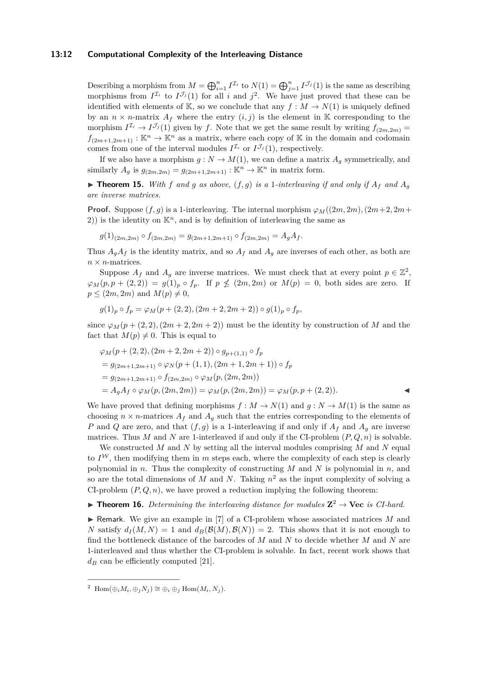#### **13:12 Computational Complexity of the Interleaving Distance**

Describing a morphism from  $M = \bigoplus_{i=1}^{n} I^{\mathcal{I}_i}$  to  $N(1) = \bigoplus_{j=1}^{n} I^{\mathcal{I}_j}(1)$  is the same as describing morphisms from  $I^{\mathcal{I}_i}$  to  $I^{\mathcal{J}_j}(1)$  for all *i* and  $j^2$  $j^2$ . We have just proved that these can be identified with elements of K, so we conclude that any  $f : M \to N(1)$  is uniquely defined by an  $n \times n$ -matrix  $A_f$  where the entry  $(i, j)$  is the element in K corresponding to the morphism  $I^{\mathcal{I}_i} \to I^{\mathcal{J}_j}(1)$  given by *f*. Note that we get the same result by writing  $f_{(2m,2m)} =$  $f_{(2m+1,2m+1)} : \mathbb{K}^n \to \mathbb{K}^n$  as a matrix, where each copy of K in the domain and codomain comes from one of the interval modules  $I^{\mathcal{I}_i}$  or  $I^{\mathcal{J}_j}(1)$ , respectively.

If we also have a morphism  $g: N \to M(1)$ , we can define a matrix  $A_g$  symmetrically, and similarly  $A_q$  is  $g_{(2m,2m)} = g_{(2m+1,2m+1)} : \mathbb{K}^n \to \mathbb{K}^n$  in matrix form.

 $\triangleright$  **Theorem 15.** With f and g as above,  $(f, g)$  is a 1-interleaving if and only if  $A_f$  and  $A_g$ *are inverse matrices.*

**Proof.** Suppose  $(f, q)$  is a 1-interleaving. The internal morphism  $\varphi_M((2m, 2m), (2m+2, 2m+1))$ 2)) is the identity on  $\mathbb{K}^n$ , and is by definition of interleaving the same as

$$
g(1)_{(2m,2m)} \circ f_{(2m,2m)} = g_{(2m+1,2m+1)} \circ f_{(2m,2m)} = A_g A_f.
$$

Thus  $A_gA_f$  is the identity matrix, and so  $A_f$  and  $A_g$  are inverses of each other, as both are  $n \times n$ -matrices.

Suppose  $A_f$  and  $A_g$  are inverse matrices. We must check that at every point  $p \in \mathbb{Z}^2$ ,  $\varphi_M(p, p + (2, 2)) = g(1)_p \circ f_p$ . If  $p \nleq (2m, 2m)$  or  $M(p) = 0$ , both sides are zero. If  $p \leq (2m, 2m)$  and  $M(p) \neq 0$ ,

$$
g(1)_p \circ f_p = \varphi_M(p + (2,2), (2m+2, 2m+2)) \circ g(1)_p \circ f_p,
$$

since  $\varphi_M(p + (2, 2), (2m + 2, 2m + 2))$  must be the identity by construction of *M* and the fact that  $M(p) \neq 0$ . This is equal to

$$
\varphi_M(p + (2,2), (2m + 2, 2m + 2)) \circ g_{p+(1,1)} \circ f_p
$$
  
=  $g_{(2m+1,2m+1)} \circ \varphi_N(p + (1,1), (2m + 1, 2m + 1)) \circ f_p$   
=  $g_{(2m+1,2m+1)} \circ f_{(2m,2m)} \circ \varphi_M(p, (2m,2m))$   
=  $A_g A_f \circ \varphi_M(p, (2m,2m)) = \varphi_M(p, (2m,2m)) = \varphi_M(p, p + (2,2)).$ 

We have proved that defining morphisms  $f : M \to N(1)$  and  $g : N \to M(1)$  is the same as choosing  $n \times n$ -matrices  $A_f$  and  $A_g$  such that the entries corresponding to the elements of *P* and *Q* are zero, and that  $(f, g)$  is a 1-interleaving if and only if  $A_f$  and  $A_g$  are inverse matrices. Thus *M* and *N* are 1-interleaved if and only if the CI-problem  $(P, Q, n)$  is solvable.

We constructed *M* and *N* by setting all the interval modules comprising *M* and *N* equal to  $I^{\mathcal{W}}$ , then modifying them in *m* steps each, where the complexity of each step is clearly polynomial in *n*. Thus the complexity of constructing *M* and *N* is polynomial in *n*, and so are the total dimensions of *M* and *N*. Taking *n* <sup>2</sup> as the input complexity of solving a CI-problem  $(P, Q, n)$ , we have proved a reduction implying the following theorem:

## **Theorem 16.** Determining the interleaving distance for modules  $\mathbb{Z}^2 \to \mathbb{V}$ ec is CI-hard.

 $\blacktriangleright$  Remark. We give an example in [\[7\]](#page-13-10) of a CI-problem whose associated matrices *M* and *N* satisfy  $d_I(M, N) = 1$  and  $d_B(\mathcal{B}(M), \mathcal{B}(N)) = 2$ . This shows that it is not enough to find the bottleneck distance of the barcodes of *M* and *N* to decide whether *M* and *N* are 1-interleaved and thus whether the CI-problem is solvable. In fact, recent work shows that  $d_B$  can be efficiently computed [\[21\]](#page-13-21).

<span id="page-11-0"></span><sup>&</sup>lt;sup>2</sup> Hom $(\bigoplus_i M_i, \bigoplus_j N_j) \cong \bigoplus_i \bigoplus_j \text{Hom}(M_i, N_j)$ .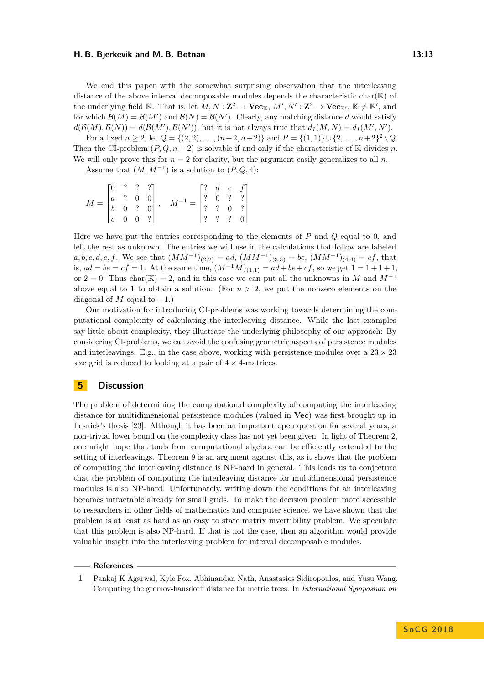#### **H. B. Bjerkevik and M. B. Botnan 13:13**

We end this paper with the somewhat surprising observation that the interleaving distance of the above interval decomposable modules depends the characteristic char( $K$ ) of the underlying field K. That is, let  $M, N : \mathbb{Z}^2 \to \mathbf{Vec}_K, M', N' : \mathbb{Z}^2 \to \mathbf{Vec}_{K'}$ ,  $\mathbb{K} \neq \mathbb{K}'$ , and for which  $\mathcal{B}(M) = \mathcal{B}(M')$  and  $\mathcal{B}(N) = \mathcal{B}(N')$ . Clearly, any matching distance d would satisfy  $d(\mathcal{B}(M), \mathcal{B}(N)) = d(\mathcal{B}(M'), \mathcal{B}(N'))$ , but it is not always true that  $d_I(M, N) = d_I(M', N')$ .

For a fixed  $n \ge 2$ , let  $Q = \{(2, 2), \ldots, (n+2, n+2)\}$  and  $P = \{(1, 1)\} \cup \{2, \ldots, n+2\}^2 \setminus Q$ . Then the CI-problem  $(P, Q, n+2)$  is solvable if and only if the characteristic of K divides *n*. We will only prove this for  $n = 2$  for clarity, but the argument easily generalizes to all *n*.

Assume that  $(M, M^{-1})$  is a solution to  $(P, Q, 4)$ :

$$
M = \begin{bmatrix} 0 & ? & ? & ? \\ a & ? & 0 & 0 \\ b & 0 & ? & 0 \\ c & 0 & 0 & ? \end{bmatrix}, \quad M^{-1} = \begin{bmatrix} ? & d & e & f \\ ? & 0 & ? & ? \\ ? & ? & 0 & ? \\ ? & ? & ? & 0 \end{bmatrix}
$$

Here we have put the entries corresponding to the elements of *P* and *Q* equal to 0, and left the rest as unknown. The entries we will use in the calculations that follow are labeled  $a, b, c, d, e, f$ . We see that  $(MM^{-1})_{(2,2)} = ad$ ,  $(MM^{-1})_{(3,3)} = be$ ,  $(MM^{-1})_{(4,4)} = cf$ , that is,  $ad = be = cf = 1$ . At the same time,  $(M^{-1}M)_{(1,1)} = ad + be + cf$ , so we get  $1 = 1 + 1 + 1$ , or 2 = 0. Thus char( $\mathbb{K}$ ) = 2, and in this case we can put all the unknowns in *M* and *M*<sup>-1</sup> above equal to 1 to obtain a solution. (For  $n > 2$ , we put the nonzero elements on the diagonal of  $M$  equal to  $-1$ .)

Our motivation for introducing CI-problems was working towards determining the computational complexity of calculating the interleaving distance. While the last examples say little about complexity, they illustrate the underlying philosophy of our approach: By considering CI-problems, we can avoid the confusing geometric aspects of persistence modules and interleavings. E.g., in the case above, working with persistence modules over a  $23 \times 23$ size grid is reduced to looking at a pair of  $4 \times 4$ -matrices.

## **5 Discussion**

The problem of determining the computational complexity of computing the interleaving distance for multidimensional persistence modules (valued in **Vec**) was first brought up in Lesnick's thesis [\[23\]](#page-13-22). Although it has been an important open question for several years, a non-trivial lower bound on the complexity class has not yet been given. In light of Theorem [2,](#page-3-0) one might hope that tools from computational algebra can be efficiently extended to the setting of interleavings. Theorem [9](#page-7-0) is an argument against this, as it shows that the problem of computing the interleaving distance is NP-hard in general. This leads us to conjecture that the problem of computing the interleaving distance for multidimensional persistence modules is also NP-hard. Unfortunately, writing down the conditions for an interleaving becomes intractable already for small grids. To make the decision problem more accessible to researchers in other fields of mathematics and computer science, we have shown that the problem is at least as hard as an easy to state matrix invertibility problem. We speculate that this problem is also NP-hard. If that is not the case, then an algorithm would provide valuable insight into the interleaving problem for interval decomposable modules.

#### **References**

<span id="page-12-0"></span>**1** Pankaj K Agarwal, Kyle Fox, Abhinandan Nath, Anastasios Sidiropoulos, and Yusu Wang. Computing the gromov-hausdorff distance for metric trees. In *International Symposium on*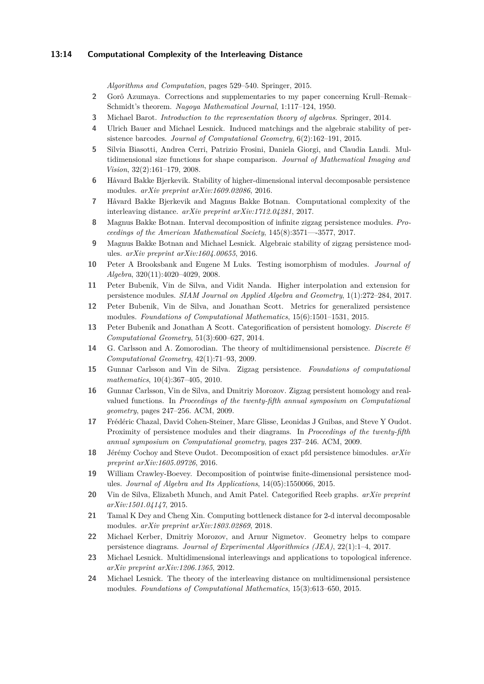## **13:14 Computational Complexity of the Interleaving Distance**

*Algorithms and Computation*, pages 529–540. Springer, 2015.

- <span id="page-13-13"></span>**2** Gorô Azumaya. Corrections and supplementaries to my paper concerning Krull–Remak– Schmidt's theorem. *Nagoya Mathematical Journal*, 1:117–124, 1950.
- <span id="page-13-4"></span>**3** Michael Barot. *Introduction to the representation theory of algebras*. Springer, 2014.
- <span id="page-13-18"></span>**4** Ulrich Bauer and Michael Lesnick. Induced matchings and the algebraic stability of persistence barcodes. *Journal of Computational Geometry*, 6(2):162–191, 2015.
- <span id="page-13-8"></span>**5** Silvia Biasotti, Andrea Cerri, Patrizio Frosini, Daniela Giorgi, and Claudia Landi. Multidimensional size functions for shape comparison. *Journal of Mathematical Imaging and Vision*, 32(2):161–179, 2008.
- <span id="page-13-19"></span>**6** Håvard Bakke Bjerkevik. Stability of higher-dimensional interval decomposable persistence modules. *arXiv preprint arXiv:1609.02086*, 2016.
- <span id="page-13-10"></span>**7** Håvard Bakke Bjerkevik and Magnus Bakke Botnan. Computational complexity of the interleaving distance. *arXiv preprint arXiv:1712.04281*, 2017.
- <span id="page-13-15"></span>**8** Magnus Bakke Botnan. Interval decomposition of infinite zigzag persistence modules. *Proceedings of the American Mathematical Society*, 145(8):3571—-3577, 2017.
- <span id="page-13-2"></span>**9** Magnus Bakke Botnan and Michael Lesnick. Algebraic stability of zigzag persistence modules. *arXiv preprint arXiv:1604.00655*, 2016.
- <span id="page-13-9"></span>**10** Peter A Brooksbank and Eugene M Luks. Testing isomorphism of modules. *Journal of Algebra*, 320(11):4020–4029, 2008.
- <span id="page-13-20"></span>**11** Peter Bubenik, Vin de Silva, and Vidit Nanda. Higher interpolation and extension for persistence modules. *SIAM Journal on Applied Algebra and Geometry*, 1(1):272–284, 2017.
- <span id="page-13-7"></span>**12** Peter Bubenik, Vin de Silva, and Jonathan Scott. Metrics for generalized persistence modules. *Foundations of Computational Mathematics*, 15(6):1501–1531, 2015.
- <span id="page-13-0"></span>**13** Peter Bubenik and Jonathan A Scott. Categorification of persistent homology. *Discrete & Computational Geometry*, 51(3):600–627, 2014.
- <span id="page-13-3"></span>**14** G. Carlsson and A. Zomorodian. The theory of multidimensional persistence. *Discrete & Computational Geometry*, 42(1):71–93, 2009.
- <span id="page-13-16"></span>**15** Gunnar Carlsson and Vin de Silva. Zigzag persistence. *Foundations of computational mathematics*, 10(4):367–405, 2010.
- <span id="page-13-1"></span>**16** Gunnar Carlsson, Vin de Silva, and Dmitriy Morozov. Zigzag persistent homology and realvalued functions. In *Proceedings of the twenty-fifth annual symposium on Computational geometry*, pages 247–256. ACM, 2009.
- <span id="page-13-6"></span>**17** Frédéric Chazal, David Cohen-Steiner, Marc Glisse, Leonidas J Guibas, and Steve Y Oudot. Proximity of persistence modules and their diagrams. In *Proceedings of the twenty-fifth annual symposium on Computational geometry*, pages 237–246. ACM, 2009.
- <span id="page-13-17"></span>**18** Jérémy Cochoy and Steve Oudot. Decomposition of exact pfd persistence bimodules. *arXiv preprint arXiv:1605.09726*, 2016.
- <span id="page-13-14"></span>**19** William Crawley-Boevey. Decomposition of pointwise finite-dimensional persistence modules. *Journal of Algebra and Its Applications*, 14(05):1550066, 2015.
- <span id="page-13-12"></span>**20** Vin de Silva, Elizabeth Munch, and Amit Patel. Categorified Reeb graphs. *arXiv preprint arXiv:1501.04147*, 2015.
- <span id="page-13-21"></span>**21** Tamal K Dey and Cheng Xin. Computing bottleneck distance for 2-d interval decomposable modules. *arXiv preprint arXiv:1803.02869*, 2018.
- <span id="page-13-11"></span>**22** Michael Kerber, Dmitriy Morozov, and Arnur Nigmetov. Geometry helps to compare persistence diagrams. *Journal of Experimental Algorithmics (JEA)*, 22(1):1–4, 2017.
- <span id="page-13-22"></span>**23** Michael Lesnick. Multidimensional interleavings and applications to topological inference. *arXiv preprint arXiv:1206.1365*, 2012.
- <span id="page-13-5"></span>**24** Michael Lesnick. The theory of the interleaving distance on multidimensional persistence modules. *Foundations of Computational Mathematics*, 15(3):613–650, 2015.